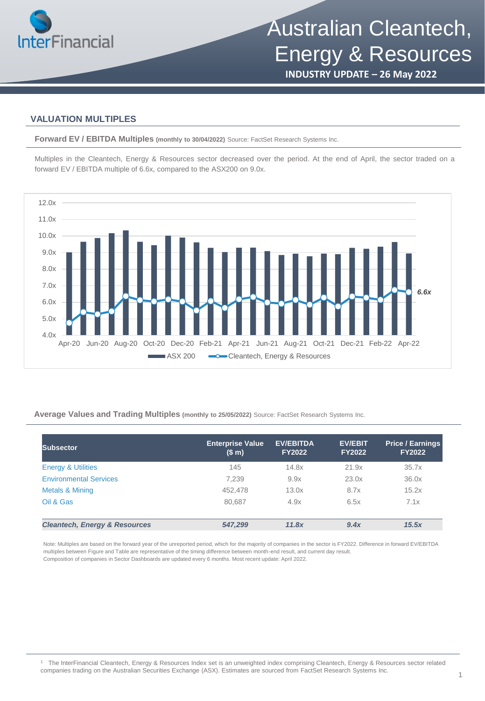

**INDUSTRY UPDATE – 26 May 2022**

### **VALUATION MULTIPLES**

**Forward EV / EBITDA Multiples (monthly to 30/04/2022)** Source: FactSet Research Systems Inc.

Multiples in the Cleantech, Energy & Resources sector decreased over the period. At the end of April, the sector traded on a forward EV / EBITDA multiple of 6.6x, compared to the ASX200 on 9.0x.



**Average Values and Trading Multiples (monthly to 25/05/2022)** Source: FactSet Research Systems Inc.

| <b>Subsector</b>                         | <b>Enterprise Value</b><br>(\$m) | <b>EV/EBITDA</b><br><b>FY2022</b> | <b>EV/EBIT</b><br><b>FY2022</b> | <b>Price / Earnings</b><br><b>FY2022</b> |
|------------------------------------------|----------------------------------|-----------------------------------|---------------------------------|------------------------------------------|
| <b>Energy &amp; Utilities</b>            | 145                              | 14.8x                             | 21.9x                           | 35.7x                                    |
| <b>Environmental Services</b>            | 7.239                            | 9.9x                              | 23.0x                           | 36.0x                                    |
| Metals & Mining                          | 452,478                          | 13.0x                             | 8.7x                            | 15.2x                                    |
| Oil & Gas                                | 80,687                           | 4.9x                              | 6.5x                            | 7.1x                                     |
|                                          |                                  |                                   |                                 |                                          |
| <b>Cleantech, Energy &amp; Resources</b> | 547,299                          | 11.8x                             | 9.4x                            | 15.5x                                    |

Note: Multiples are based on the forward year of the unreported period, which for the majority of companies in the sector is FY2022. Difference in forward EV/EBITDA multiples between Figure and Table are representative of the timing difference between month-end result, and current day result. Composition of companies in Sector Dashboards are updated every 6 months. Most recent update: April 2022.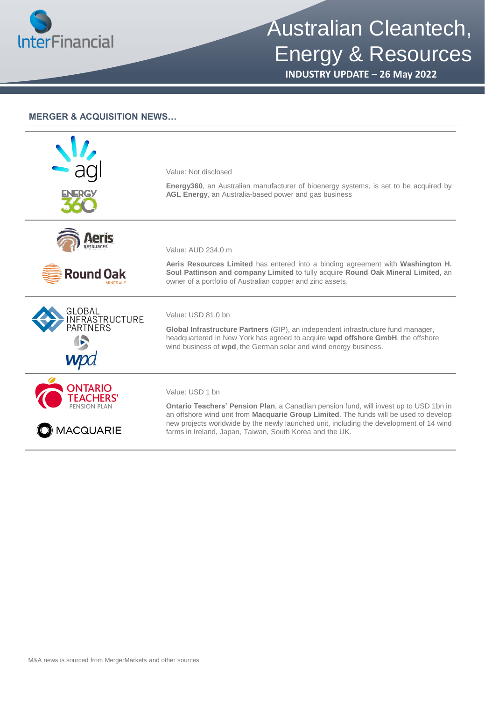

## Australian Cleantech, Energy & Resources

**INDUSTRY UPDATE – 26 May 2022**

### **MERGER & ACQUISITION NEWS…**

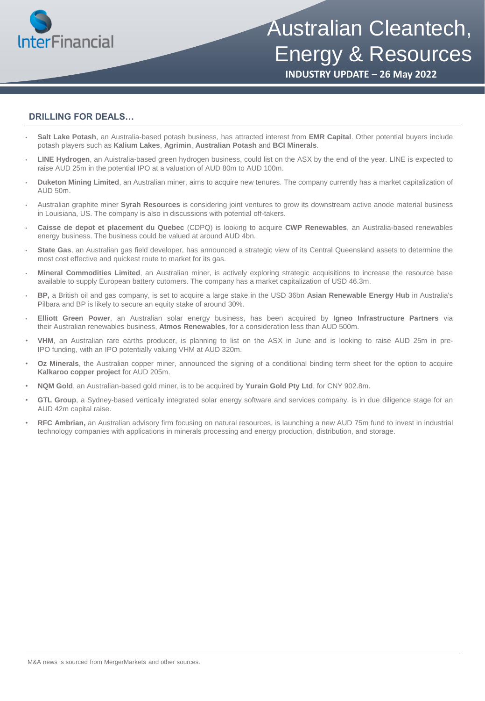

# Australian Cleantech, Energy & Resources

**INDUSTRY UPDATE – 26 May 2022**

### **DRILLING FOR DEALS…**

- **Salt Lake Potash**, an Australia-based potash business, has attracted interest from **EMR Capital**. Other potential buyers include potash players such as **Kalium Lakes**, **Agrimin**, **Australian Potash** and **BCI Minerals**.
- **LINE Hydrogen**, an Auistralia-based green hydrogen business, could list on the ASX by the end of the year. LINE is expected to raise AUD 25m in the potential IPO at a valuation of AUD 80m to AUD 100m.
- **Duketon Mining Limited**, an Australian miner, aims to acquire new tenures. The company currently has a market capitalization of  $AUD.50m$ .
- Australian graphite miner **Syrah Resources** is considering joint ventures to grow its downstream active anode material business in Louisiana, US. The company is also in discussions with potential off-takers.
- **Caisse de depot et placement du Quebec** (CDPQ) is looking to acquire **CWP Renewables**, an Australia-based renewables energy business. The business could be valued at around AUD 4bn.
- **State Gas**, an Australian gas field developer, has announced a strategic view of its Central Queensland assets to determine the most cost effective and quickest route to market for its gas.
- **Mineral Commodities Limited**, an Australian miner, is actively exploring strategic acquisitions to increase the resource base available to supply European battery cutomers. The company has a market capitalization of USD 46.3m.
- **BP,** a British oil and gas company, is set to acquire a large stake in the USD 36bn **Asian Renewable Energy Hub** in Australia's Pilbara and BP is likely to secure an equity stake of around 30%.
- **Elliott Green Power**, an Australian solar energy business, has been acquired by **Igneo Infrastructure Partners** via their Australian renewables business, **Atmos Renewables**, for a consideration less than AUD 500m.
- **VHM**, an Australian rare earths producer, is planning to list on the ASX in June and is looking to raise AUD 25m in pre-IPO funding, with an IPO potentially valuing VHM at AUD 320m.
- **Oz Minerals**, the Australian copper miner, announced the signing of a conditional binding term sheet for the option to acquire **Kalkaroo copper project** for AUD 205m.
- **NQM Gold**, an Australian-based gold miner, is to be acquired by **Yurain Gold Pty Ltd**, for CNY 902.8m.
- **GTL Group**, a Sydney-based vertically integrated solar energy software and services company, is in due diligence stage for an AUD 42m capital raise.
- **RFC Ambrian,** an Australian advisory firm focusing on natural resources, is launching a new AUD 75m fund to invest in industrial technology companies with applications in minerals processing and energy production, distribution, and storage.